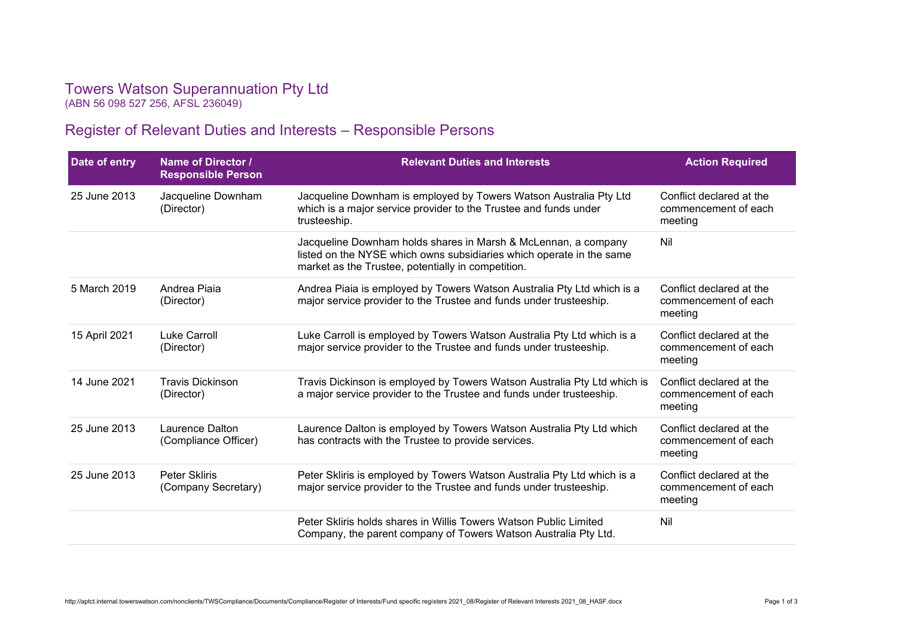## Towers Watson Superannuation Pty Ltd (ABN 56 098 527 256, AFSL 236049)

Register of Relevant Duties and Interests – Responsible Persons

| Date of entry | Name of Director /<br><b>Responsible Person</b> | <b>Relevant Duties and Interests</b>                                                                                                                                                         | <b>Action Required</b>                                      |  |
|---------------|-------------------------------------------------|----------------------------------------------------------------------------------------------------------------------------------------------------------------------------------------------|-------------------------------------------------------------|--|
| 25 June 2013  | Jacqueline Downham<br>(Director)                | Jacqueline Downham is employed by Towers Watson Australia Pty Ltd<br>which is a major service provider to the Trustee and funds under<br>trusteeship.                                        |                                                             |  |
|               |                                                 | Jacqueline Downham holds shares in Marsh & McLennan, a company<br>listed on the NYSE which owns subsidiaries which operate in the same<br>market as the Trustee, potentially in competition. | Nil                                                         |  |
| 5 March 2019  | Andrea Piaia<br>(Director)                      | Andrea Piaia is employed by Towers Watson Australia Pty Ltd which is a<br>major service provider to the Trustee and funds under trusteeship.                                                 | Conflict declared at the<br>commencement of each<br>meeting |  |
| 15 April 2021 | Luke Carroll<br>(Director)                      | Luke Carroll is employed by Towers Watson Australia Pty Ltd which is a<br>major service provider to the Trustee and funds under trusteeship.                                                 | Conflict declared at the<br>commencement of each<br>meeting |  |
| 14 June 2021  | <b>Travis Dickinson</b><br>(Director)           | Travis Dickinson is employed by Towers Watson Australia Pty Ltd which is<br>a major service provider to the Trustee and funds under trusteeship.                                             | Conflict declared at the<br>commencement of each<br>meeting |  |
| 25 June 2013  | Laurence Dalton<br>(Compliance Officer)         | Laurence Dalton is employed by Towers Watson Australia Pty Ltd which<br>has contracts with the Trustee to provide services.                                                                  | Conflict declared at the<br>commencement of each<br>meeting |  |
| 25 June 2013  | <b>Peter Skliris</b><br>(Company Secretary)     | Peter Skliris is employed by Towers Watson Australia Pty Ltd which is a<br>major service provider to the Trustee and funds under trusteeship.                                                | Conflict declared at the<br>commencement of each<br>meeting |  |
|               |                                                 | Peter Skliris holds shares in Willis Towers Watson Public Limited<br>Company, the parent company of Towers Watson Australia Pty Ltd.                                                         | Nil                                                         |  |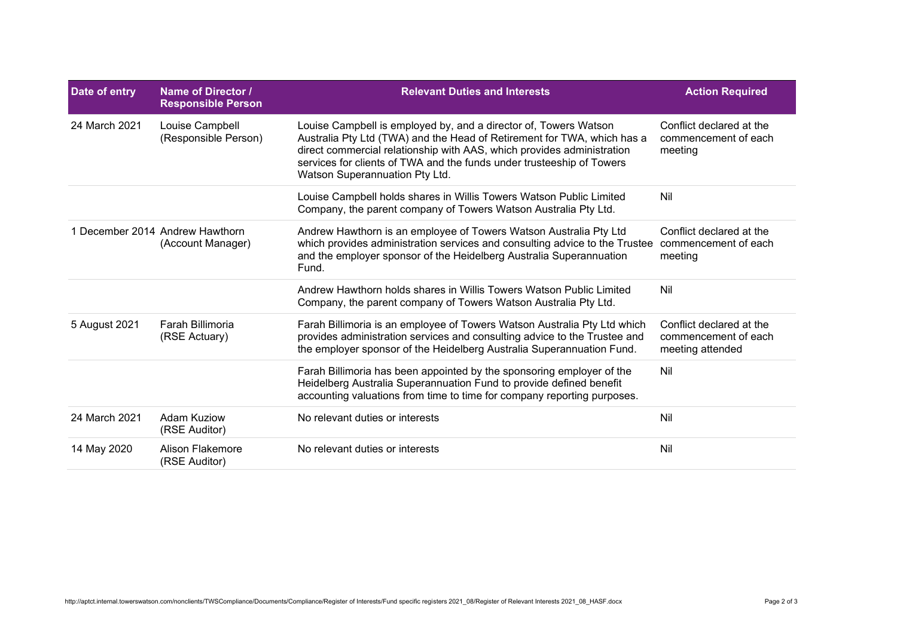| Date of entry | Name of Director /<br><b>Responsible Person</b>      | <b>Relevant Duties and Interests</b>                                                                                                                                                                                                                                                                                             | <b>Action Required</b>                                               |
|---------------|------------------------------------------------------|----------------------------------------------------------------------------------------------------------------------------------------------------------------------------------------------------------------------------------------------------------------------------------------------------------------------------------|----------------------------------------------------------------------|
| 24 March 2021 | Louise Campbell<br>(Responsible Person)              | Louise Campbell is employed by, and a director of, Towers Watson<br>Australia Pty Ltd (TWA) and the Head of Retirement for TWA, which has a<br>direct commercial relationship with AAS, which provides administration<br>services for clients of TWA and the funds under trusteeship of Towers<br>Watson Superannuation Pty Ltd. | Conflict declared at the<br>commencement of each<br>meeting          |
|               |                                                      | Louise Campbell holds shares in Willis Towers Watson Public Limited<br>Company, the parent company of Towers Watson Australia Pty Ltd.                                                                                                                                                                                           | Nil                                                                  |
|               | 1 December 2014 Andrew Hawthorn<br>(Account Manager) | Andrew Hawthorn is an employee of Towers Watson Australia Pty Ltd<br>which provides administration services and consulting advice to the Trustee<br>and the employer sponsor of the Heidelberg Australia Superannuation<br>Fund.                                                                                                 | Conflict declared at the<br>commencement of each<br>meeting          |
|               |                                                      | Andrew Hawthorn holds shares in Willis Towers Watson Public Limited<br>Company, the parent company of Towers Watson Australia Pty Ltd.                                                                                                                                                                                           | Nil                                                                  |
| 5 August 2021 | Farah Billimoria<br>(RSE Actuary)                    | Farah Billimoria is an employee of Towers Watson Australia Pty Ltd which<br>provides administration services and consulting advice to the Trustee and<br>the employer sponsor of the Heidelberg Australia Superannuation Fund.                                                                                                   | Conflict declared at the<br>commencement of each<br>meeting attended |
|               |                                                      | Farah Billimoria has been appointed by the sponsoring employer of the<br>Heidelberg Australia Superannuation Fund to provide defined benefit<br>accounting valuations from time to time for company reporting purposes.                                                                                                          | Nil                                                                  |
| 24 March 2021 | <b>Adam Kuziow</b><br>(RSE Auditor)                  | No relevant duties or interests                                                                                                                                                                                                                                                                                                  | Nil                                                                  |
| 14 May 2020   | Alison Flakemore<br>(RSE Auditor)                    | No relevant duties or interests                                                                                                                                                                                                                                                                                                  | Nil                                                                  |